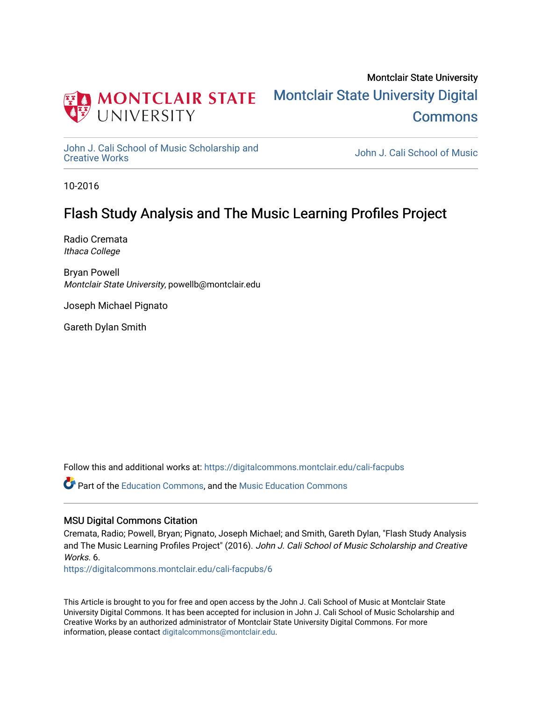

## Montclair State University [Montclair State University Digital](https://digitalcommons.montclair.edu/)  **Commons**

[John J. Cali School of Music Scholarship and](https://digitalcommons.montclair.edu/cali-facpubs)<br>Creative Works

John J. Cali School of Music

10-2016

## Flash Study Analysis and The Music Learning Profiles Project

Radio Cremata Ithaca College

Bryan Powell Montclair State University, powellb@montclair.edu

Joseph Michael Pignato

Gareth Dylan Smith

Follow this and additional works at: [https://digitalcommons.montclair.edu/cali-facpubs](https://digitalcommons.montclair.edu/cali-facpubs?utm_source=digitalcommons.montclair.edu%2Fcali-facpubs%2F6&utm_medium=PDF&utm_campaign=PDFCoverPages) 

**C** Part of the [Education Commons](http://network.bepress.com/hgg/discipline/784?utm_source=digitalcommons.montclair.edu%2Fcali-facpubs%2F6&utm_medium=PDF&utm_campaign=PDFCoverPages), and the Music Education Commons

#### MSU Digital Commons Citation

Cremata, Radio; Powell, Bryan; Pignato, Joseph Michael; and Smith, Gareth Dylan, "Flash Study Analysis and The Music Learning Profiles Project" (2016). John J. Cali School of Music Scholarship and Creative Works<sub>6</sub>

[https://digitalcommons.montclair.edu/cali-facpubs/6](https://digitalcommons.montclair.edu/cali-facpubs/6?utm_source=digitalcommons.montclair.edu%2Fcali-facpubs%2F6&utm_medium=PDF&utm_campaign=PDFCoverPages) 

This Article is brought to you for free and open access by the John J. Cali School of Music at Montclair State University Digital Commons. It has been accepted for inclusion in John J. Cali School of Music Scholarship and Creative Works by an authorized administrator of Montclair State University Digital Commons. For more information, please contact [digitalcommons@montclair.edu](mailto:digitalcommons@montclair.edu).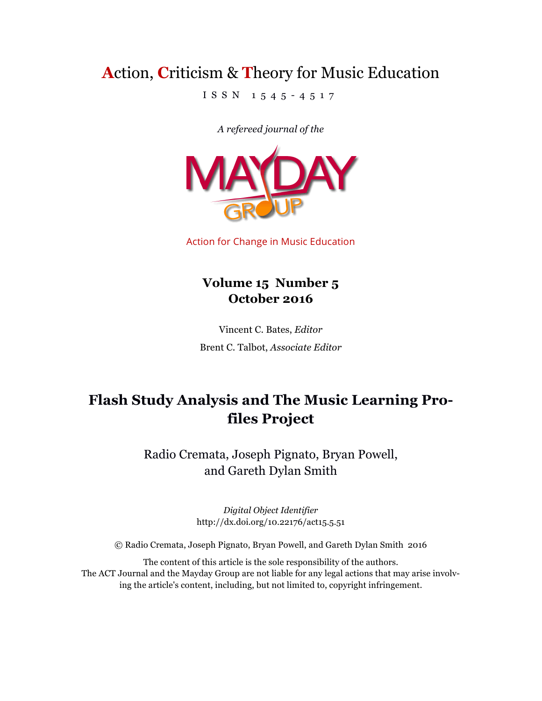# **A**ction, **C**riticism & **T**heory for Music Education

ISSN 1545 - 4517

*A refereed journal of the*



Action for Change in Music Education

### **Volume 15 Number 5 October 2016**

Vincent C. Bates, *Editor* Brent C. Talbot, *Associate Editor*

## **Flash Study Analysis and The Music Learning Profiles Project**

Radio Cremata, Joseph Pignato, Bryan Powell, and Gareth Dylan Smith

> *Digital Object Identifier*  http://dx.doi.org/10.22176/act15.5.51

© Radio Cremata, Joseph Pignato, Bryan Powell, and Gareth Dylan Smith 2016

The content of this article is the sole responsibility of the authors. The ACT Journal and the Mayday Group are not liable for any legal actions that may arise involving the article's content, including, but not limited to, copyright infringement.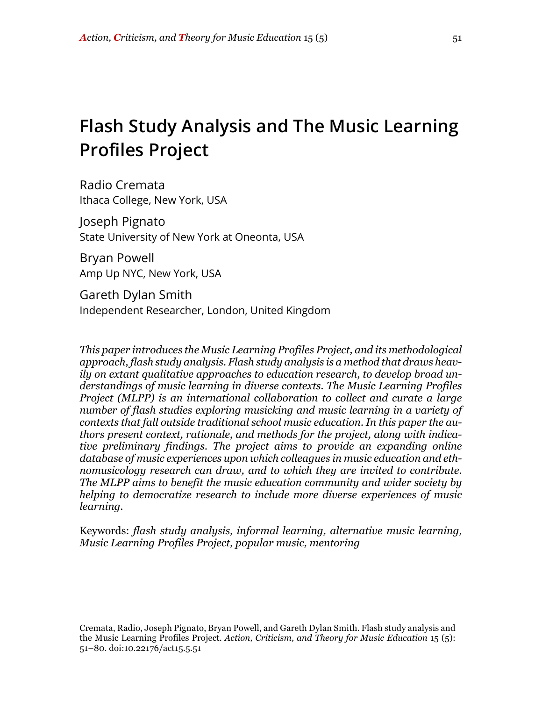# **Flash Study Analysis and The Music Learning Profiles Project**

Radio Cremata Ithaca College, New York, USA

Joseph Pignato State University of New York at Oneonta, USA

Bryan Powell Amp Up NYC, New York, USA

Gareth Dylan Smith Independent Researcher, London, United Kingdom

*This paper introduces the Music Learning Profiles Project, and its methodological approach, flash study analysis. Flash study analysis is a method that draws heavily on extant qualitative approaches to education research, to develop broad understandings of music learning in diverse contexts. The Music Learning Profiles Project (MLPP) is an international collaboration to collect and curate a large number of flash studies exploring musicking and music learning in a variety of contexts that fall outside traditional school music education. In this paper the authors present context, rationale, and methods for the project, along with indicative preliminary findings. The project aims to provide an expanding online database of music experiences upon which colleagues in music education and ethnomusicology research can draw, and to which they are invited to contribute. The MLPP aims to benefit the music education community and wider society by helping to democratize research to include more diverse experiences of music learning.*

Keywords: *flash study analysis, informal learning, alternative music learning, Music Learning Profiles Project, popular music, mentoring*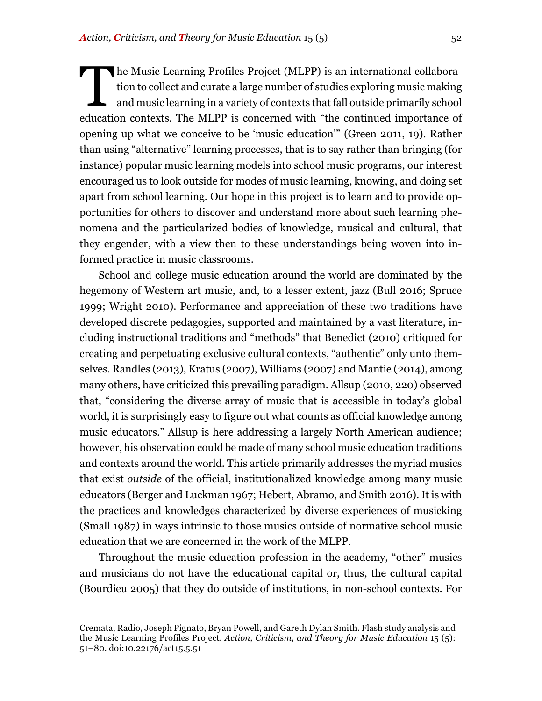he Music Learning Profiles Project (MLPP) is an international collaboration to collect and curate a large number of studies exploring music making and music learning in a variety of contexts that fall outside primarily school education contexts. The MLPP is concerned with "the continued importance of opening up what we conceive to be 'music education'" (Green 2011, 19). Rather than using "alternative" learning processes, that is to say rather than bringing (for instance) popular music learning models into school music programs, our interest encouraged us to look outside for modes of music learning, knowing, and doing set apart from school learning. Our hope in this project is to learn and to provide opportunities for others to discover and understand more about such learning phenomena and the particularized bodies of knowledge, musical and cultural, that they engender, with a view then to these understandings being woven into informed practice in music classrooms. T

School and college music education around the world are dominated by the hegemony of Western art music, and, to a lesser extent, jazz (Bull 2016; Spruce 1999; Wright 2010). Performance and appreciation of these two traditions have developed discrete pedagogies, supported and maintained by a vast literature, including instructional traditions and "methods" that Benedict (2010) critiqued for creating and perpetuating exclusive cultural contexts, "authentic" only unto themselves. Randles (2013), Kratus (2007), Williams (2007) and Mantie (2014), among many others, have criticized this prevailing paradigm. Allsup (2010, 220) observed that, "considering the diverse array of music that is accessible in today's global world, it is surprisingly easy to figure out what counts as official knowledge among music educators." Allsup is here addressing a largely North American audience; however, his observation could be made of many school music education traditions and contexts around the world. This article primarily addresses the myriad musics that exist *outside* of the official, institutionalized knowledge among many music educators (Berger and Luckman 1967; Hebert, Abramo, and Smith 2016). It is with the practices and knowledges characterized by diverse experiences of musicking (Small 1987) in ways intrinsic to those musics outside of normative school music education that we are concerned in the work of the MLPP.

Throughout the music education profession in the academy, "other" musics and musicians do not have the educational capital or, thus, the cultural capital (Bourdieu 2005) that they do outside of institutions, in non-school contexts. For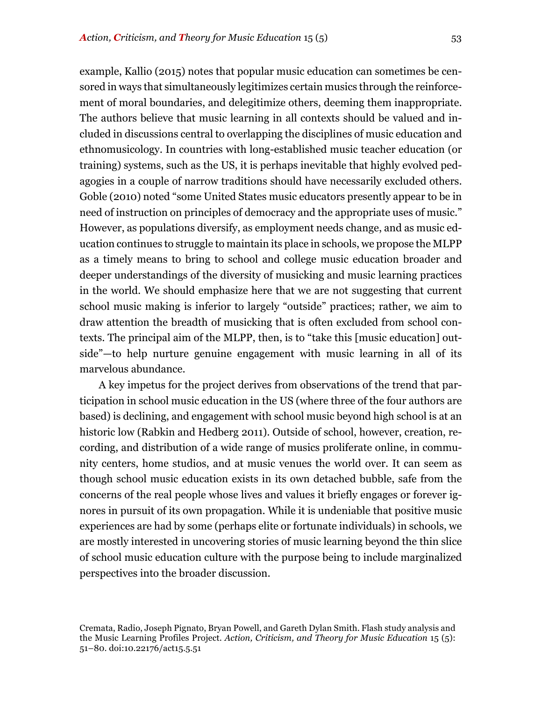example, Kallio (2015) notes that popular music education can sometimes be censored in ways that simultaneously legitimizes certain musics through the reinforcement of moral boundaries, and delegitimize others, deeming them inappropriate. The authors believe that music learning in all contexts should be valued and included in discussions central to overlapping the disciplines of music education and ethnomusicology. In countries with long-established music teacher education (or training) systems, such as the US, it is perhaps inevitable that highly evolved pedagogies in a couple of narrow traditions should have necessarily excluded others. Goble (2010) noted "some United States music educators presently appear to be in need of instruction on principles of democracy and the appropriate uses of music." However, as populations diversify, as employment needs change, and as music education continues to struggle to maintain its place in schools, we propose the MLPP as a timely means to bring to school and college music education broader and deeper understandings of the diversity of musicking and music learning practices in the world. We should emphasize here that we are not suggesting that current school music making is inferior to largely "outside" practices; rather, we aim to draw attention the breadth of musicking that is often excluded from school contexts. The principal aim of the MLPP, then, is to "take this [music education] outside"—to help nurture genuine engagement with music learning in all of its marvelous abundance.

A key impetus for the project derives from observations of the trend that participation in school music education in the US (where three of the four authors are based) is declining, and engagement with school music beyond high school is at an historic low (Rabkin and Hedberg 2011). Outside of school, however, creation, recording, and distribution of a wide range of musics proliferate online, in community centers, home studios, and at music venues the world over. It can seem as though school music education exists in its own detached bubble, safe from the concerns of the real people whose lives and values it briefly engages or forever ignores in pursuit of its own propagation. While it is undeniable that positive music experiences are had by some (perhaps elite or fortunate individuals) in schools, we are mostly interested in uncovering stories of music learning beyond the thin slice of school music education culture with the purpose being to include marginalized perspectives into the broader discussion.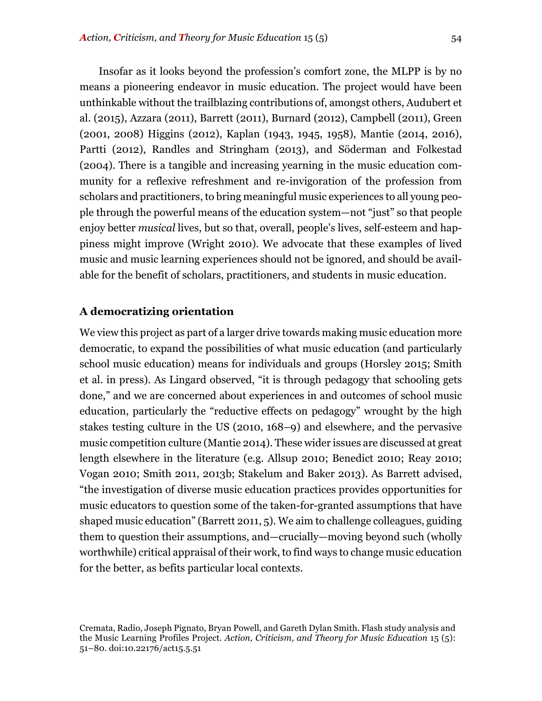Insofar as it looks beyond the profession's comfort zone, the MLPP is by no means a pioneering endeavor in music education. The project would have been unthinkable without the trailblazing contributions of, amongst others, Audubert et al. (2015), Azzara (2011), Barrett (2011), Burnard (2012), Campbell (2011), Green (2001, 2008) Higgins (2012), Kaplan (1943, 1945, 1958), Mantie (2014, 2016), Partti (2012), Randles and Stringham (2013), and Söderman and Folkestad (2004). There is a tangible and increasing yearning in the music education community for a reflexive refreshment and re-invigoration of the profession from scholars and practitioners, to bring meaningful music experiences to all young people through the powerful means of the education system—not "just" so that people enjoy better *musical* lives, but so that, overall, people's lives, self-esteem and happiness might improve (Wright 2010). We advocate that these examples of lived music and music learning experiences should not be ignored, and should be available for the benefit of scholars, practitioners, and students in music education.

#### **A democratizing orientation**

We view this project as part of a larger drive towards making music education more democratic, to expand the possibilities of what music education (and particularly school music education) means for individuals and groups (Horsley 2015; Smith et al. in press). As Lingard observed, "it is through pedagogy that schooling gets done," and we are concerned about experiences in and outcomes of school music education, particularly the "reductive effects on pedagogy" wrought by the high stakes testing culture in the US (2010, 168–9) and elsewhere, and the pervasive music competition culture (Mantie 2014). These wider issues are discussed at great length elsewhere in the literature (e.g. Allsup 2010; Benedict 2010; Reay 2010; Vogan 2010; Smith 2011, 2013b; Stakelum and Baker 2013). As Barrett advised, "the investigation of diverse music education practices provides opportunities for music educators to question some of the taken-for-granted assumptions that have shaped music education" (Barrett 2011, 5). We aim to challenge colleagues, guiding them to question their assumptions, and—crucially—moving beyond such (wholly worthwhile) critical appraisal of their work, to find ways to change music education for the better, as befits particular local contexts.

Cremata, Radio, Joseph Pignato, Bryan Powell, and Gareth Dylan Smith. Flash study analysis and the Music Learning Profiles Project. *Action, Criticism, and Theory for Music Education* 15 (5): 51–80. doi:10.22176/act15.5.51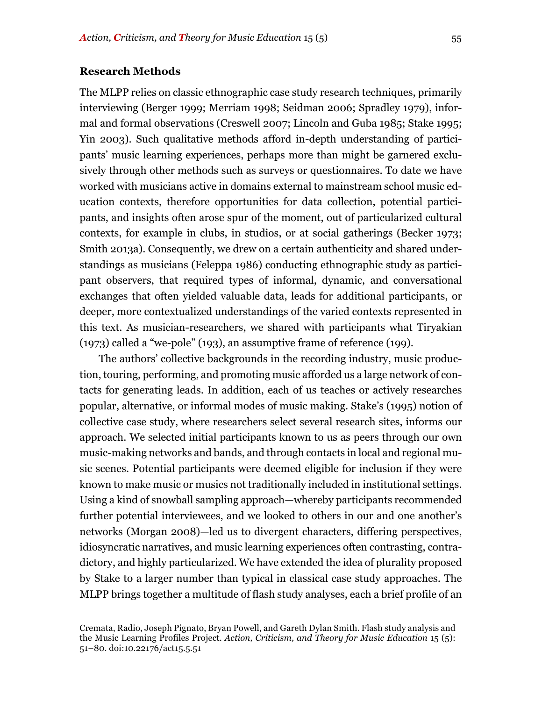#### **Research Methods**

The MLPP relies on classic ethnographic case study research techniques, primarily interviewing (Berger 1999; Merriam 1998; Seidman 2006; Spradley 1979), informal and formal observations (Creswell 2007; Lincoln and Guba 1985; Stake 1995; Yin 2003). Such qualitative methods afford in-depth understanding of participants' music learning experiences, perhaps more than might be garnered exclusively through other methods such as surveys or questionnaires. To date we have worked with musicians active in domains external to mainstream school music education contexts, therefore opportunities for data collection, potential participants, and insights often arose spur of the moment, out of particularized cultural contexts, for example in clubs, in studios, or at social gatherings (Becker 1973; Smith 2013a). Consequently, we drew on a certain authenticity and shared understandings as musicians (Feleppa 1986) conducting ethnographic study as participant observers, that required types of informal, dynamic, and conversational exchanges that often yielded valuable data, leads for additional participants, or deeper, more contextualized understandings of the varied contexts represented in this text. As musician-researchers, we shared with participants what Tiryakian (1973) called a "we-pole" (193), an assumptive frame of reference (199).

The authors' collective backgrounds in the recording industry, music production, touring, performing, and promoting music afforded us a large network of contacts for generating leads. In addition, each of us teaches or actively researches popular, alternative, or informal modes of music making. Stake's (1995) notion of collective case study, where researchers select several research sites, informs our approach. We selected initial participants known to us as peers through our own music-making networks and bands, and through contacts in local and regional music scenes. Potential participants were deemed eligible for inclusion if they were known to make music or musics not traditionally included in institutional settings. Using a kind of snowball sampling approach—whereby participants recommended further potential interviewees, and we looked to others in our and one another's networks (Morgan 2008)—led us to divergent characters, differing perspectives, idiosyncratic narratives, and music learning experiences often contrasting, contradictory, and highly particularized. We have extended the idea of plurality proposed by Stake to a larger number than typical in classical case study approaches. The MLPP brings together a multitude of flash study analyses, each a brief profile of an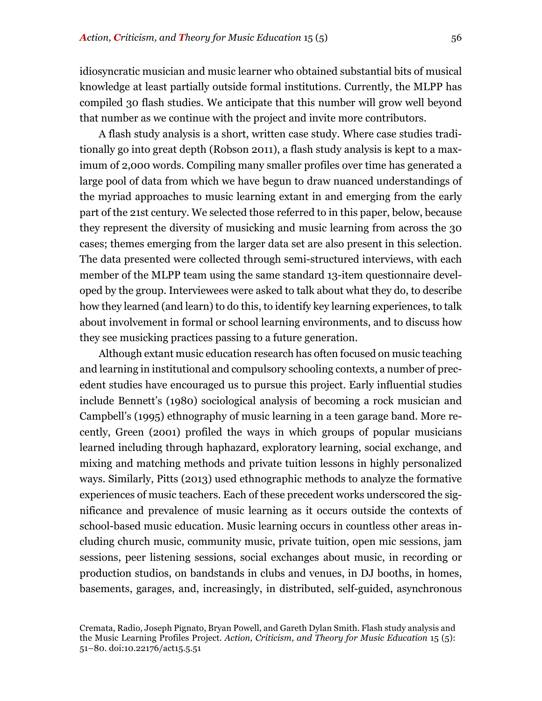idiosyncratic musician and music learner who obtained substantial bits of musical knowledge at least partially outside formal institutions. Currently, the MLPP has compiled 30 flash studies. We anticipate that this number will grow well beyond that number as we continue with the project and invite more contributors.

A flash study analysis is a short, written case study. Where case studies traditionally go into great depth (Robson 2011), a flash study analysis is kept to a maximum of 2,000 words. Compiling many smaller profiles over time has generated a large pool of data from which we have begun to draw nuanced understandings of the myriad approaches to music learning extant in and emerging from the early part of the 21st century. We selected those referred to in this paper, below, because they represent the diversity of musicking and music learning from across the 30 cases; themes emerging from the larger data set are also present in this selection. The data presented were collected through semi-structured interviews, with each member of the MLPP team using the same standard 13-item questionnaire developed by the group. Interviewees were asked to talk about what they do, to describe how they learned (and learn) to do this, to identify key learning experiences, to talk about involvement in formal or school learning environments, and to discuss how they see musicking practices passing to a future generation.

Although extant music education research has often focused on music teaching and learning in institutional and compulsory schooling contexts, a number of precedent studies have encouraged us to pursue this project. Early influential studies include Bennett's (1980) sociological analysis of becoming a rock musician and Campbell's (1995) ethnography of music learning in a teen garage band. More recently, Green (2001) profiled the ways in which groups of popular musicians learned including through haphazard, exploratory learning, social exchange, and mixing and matching methods and private tuition lessons in highly personalized ways. Similarly, Pitts (2013) used ethnographic methods to analyze the formative experiences of music teachers. Each of these precedent works underscored the significance and prevalence of music learning as it occurs outside the contexts of school-based music education. Music learning occurs in countless other areas including church music, community music, private tuition, open mic sessions, jam sessions, peer listening sessions, social exchanges about music, in recording or production studios, on bandstands in clubs and venues, in DJ booths, in homes, basements, garages, and, increasingly, in distributed, self-guided, asynchronous

Cremata, Radio, Joseph Pignato, Bryan Powell, and Gareth Dylan Smith. Flash study analysis and the Music Learning Profiles Project. *Action, Criticism, and Theory for Music Education* 15 (5): 51–80. doi:10.22176/act15.5.51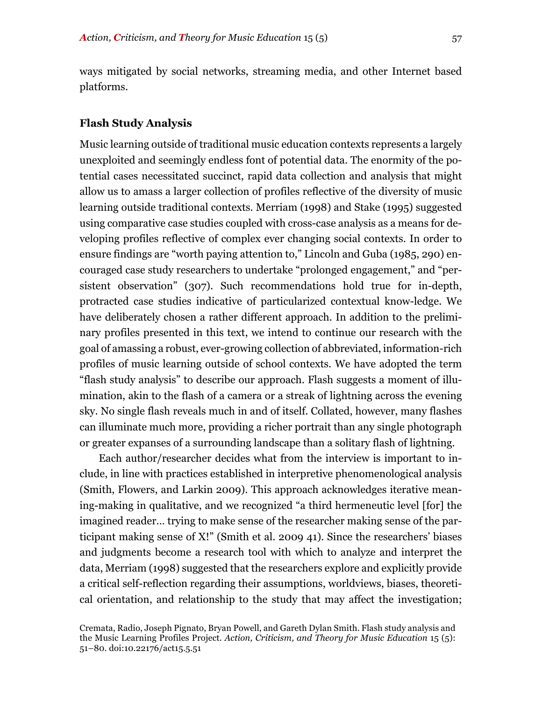ways mitigated by social networks, streaming media, and other Internet based platforms.

#### **Flash Study Analysis**

Music learning outside of traditional music education contexts represents a largely unexploited and seemingly endless font of potential data. The enormity of the potential cases necessitated succinct, rapid data collection and analysis that might allow us to amass a larger collection of profiles reflective of the diversity of music learning outside traditional contexts. Merriam (1998) and Stake (1995) suggested using comparative case studies coupled with cross-case analysis as a means for developing profiles reflective of complex ever changing social contexts. In order to ensure findings are "worth paying attention to," Lincoln and Guba (1985, 290) encouraged case study researchers to undertake "prolonged engagement," and "persistent observation" (307). Such recommendations hold true for in-depth, protracted case studies indicative of particularized contextual know-ledge. We have deliberately chosen a rather different approach. In addition to the preliminary profiles presented in this text, we intend to continue our research with the goal of amassing a robust, ever-growing collection of abbreviated, information-rich profiles of music learning outside of school contexts. We have adopted the term "flash study analysis" to describe our approach. Flash suggests a moment of illumination, akin to the flash of a camera or a streak of lightning across the evening sky. No single flash reveals much in and of itself. Collated, however, many flashes can illuminate much more, providing a richer portrait than any single photograph or greater expanses of a surrounding landscape than a solitary flash of lightning.

Each author/researcher decides what from the interview is important to include, in line with practices established in interpretive phenomenological analysis (Smith, Flowers, and Larkin 2009). This approach acknowledges iterative meaning-making in qualitative, and we recognized "a third hermeneutic level [for] the imagined reader… trying to make sense of the researcher making sense of the participant making sense of X!" (Smith et al. 2009 41). Since the researchers' biases and judgments become a research tool with which to analyze and interpret the data, Merriam (1998) suggested that the researchers explore and explicitly provide a critical self-reflection regarding their assumptions, worldviews, biases, theoretical orientation, and relationship to the study that may affect the investigation;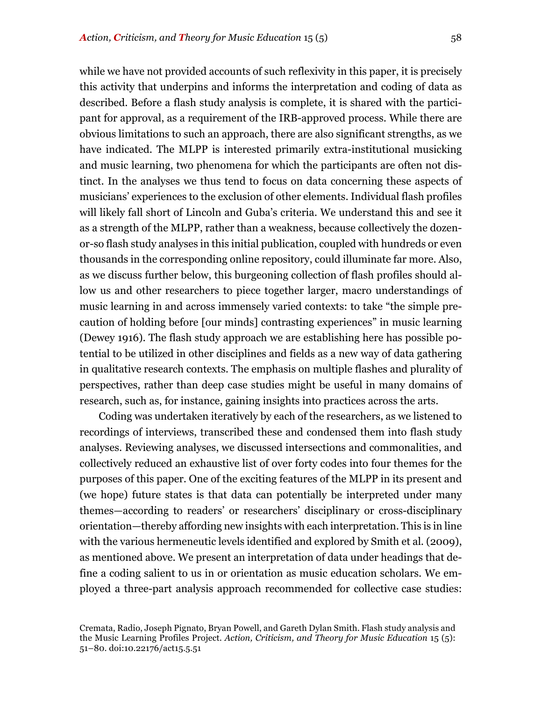while we have not provided accounts of such reflexivity in this paper, it is precisely this activity that underpins and informs the interpretation and coding of data as described. Before a flash study analysis is complete, it is shared with the participant for approval, as a requirement of the IRB-approved process. While there are obvious limitations to such an approach, there are also significant strengths, as we have indicated. The MLPP is interested primarily extra-institutional musicking and music learning, two phenomena for which the participants are often not distinct. In the analyses we thus tend to focus on data concerning these aspects of musicians' experiences to the exclusion of other elements. Individual flash profiles will likely fall short of Lincoln and Guba's criteria. We understand this and see it as a strength of the MLPP, rather than a weakness, because collectively the dozenor-so flash study analyses in this initial publication, coupled with hundreds or even thousands in the corresponding online repository, could illuminate far more. Also, as we discuss further below, this burgeoning collection of flash profiles should allow us and other researchers to piece together larger, macro understandings of music learning in and across immensely varied contexts: to take "the simple precaution of holding before [our minds] contrasting experiences" in music learning (Dewey 1916). The flash study approach we are establishing here has possible potential to be utilized in other disciplines and fields as a new way of data gathering in qualitative research contexts. The emphasis on multiple flashes and plurality of perspectives, rather than deep case studies might be useful in many domains of research, such as, for instance, gaining insights into practices across the arts.

Coding was undertaken iteratively by each of the researchers, as we listened to recordings of interviews, transcribed these and condensed them into flash study analyses. Reviewing analyses, we discussed intersections and commonalities, and collectively reduced an exhaustive list of over forty codes into four themes for the purposes of this paper. One of the exciting features of the MLPP in its present and (we hope) future states is that data can potentially be interpreted under many themes—according to readers' or researchers' disciplinary or cross-disciplinary orientation—thereby affording new insights with each interpretation. This is in line with the various hermeneutic levels identified and explored by Smith et al. (2009), as mentioned above. We present an interpretation of data under headings that define a coding salient to us in or orientation as music education scholars. We employed a three-part analysis approach recommended for collective case studies:

Cremata, Radio, Joseph Pignato, Bryan Powell, and Gareth Dylan Smith. Flash study analysis and the Music Learning Profiles Project. *Action, Criticism, and Theory for Music Education* 15 (5): 51–80. doi:10.22176/act15.5.51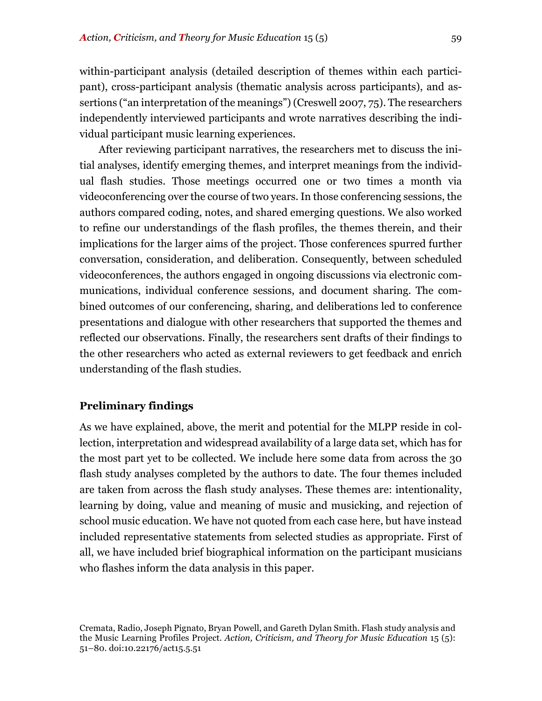within-participant analysis (detailed description of themes within each participant), cross-participant analysis (thematic analysis across participants), and assertions ("an interpretation of the meanings") (Creswell 2007, 75). The researchers independently interviewed participants and wrote narratives describing the individual participant music learning experiences.

After reviewing participant narratives, the researchers met to discuss the initial analyses, identify emerging themes, and interpret meanings from the individual flash studies. Those meetings occurred one or two times a month via videoconferencing over the course of two years. In those conferencing sessions, the authors compared coding, notes, and shared emerging questions. We also worked to refine our understandings of the flash profiles, the themes therein, and their implications for the larger aims of the project. Those conferences spurred further conversation, consideration, and deliberation. Consequently, between scheduled videoconferences, the authors engaged in ongoing discussions via electronic communications, individual conference sessions, and document sharing. The combined outcomes of our conferencing, sharing, and deliberations led to conference presentations and dialogue with other researchers that supported the themes and reflected our observations. Finally, the researchers sent drafts of their findings to the other researchers who acted as external reviewers to get feedback and enrich understanding of the flash studies.

#### **Preliminary findings**

As we have explained, above, the merit and potential for the MLPP reside in collection, interpretation and widespread availability of a large data set, which has for the most part yet to be collected. We include here some data from across the 30 flash study analyses completed by the authors to date. The four themes included are taken from across the flash study analyses. These themes are: intentionality, learning by doing, value and meaning of music and musicking, and rejection of school music education. We have not quoted from each case here, but have instead included representative statements from selected studies as appropriate. First of all, we have included brief biographical information on the participant musicians who flashes inform the data analysis in this paper.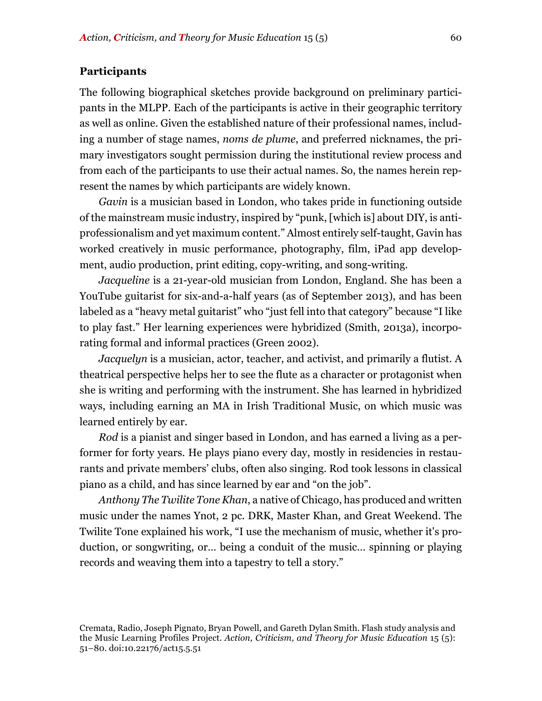#### **Participants**

The following biographical sketches provide background on preliminary participants in the MLPP. Each of the participants is active in their geographic territory as well as online. Given the established nature of their professional names, including a number of stage names, *noms de plume*, and preferred nicknames, the primary investigators sought permission during the institutional review process and from each of the participants to use their actual names. So, the names herein represent the names by which participants are widely known.

*Gavin* is a musician based in London, who takes pride in functioning outside of the mainstream music industry, inspired by "punk, [which is] about DIY, is antiprofessionalism and yet maximum content." Almost entirely self-taught, Gavin has worked creatively in music performance, photography, film, iPad app development, audio production, print editing, copy-writing, and song-writing.

*Jacqueline* is a 21-year-old musician from London, England. She has been a YouTube guitarist for six-and-a-half years (as of September 2013), and has been labeled as a "heavy metal guitarist" who "just fell into that category" because "I like to play fast." Her learning experiences were hybridized (Smith, 2013a), incorporating formal and informal practices (Green 2002).

*Jacquelyn* is a musician, actor, teacher, and activist, and primarily a flutist. A theatrical perspective helps her to see the flute as a character or protagonist when she is writing and performing with the instrument. She has learned in hybridized ways, including earning an MA in Irish Traditional Music, on which music was learned entirely by ear.

*Rod* is a pianist and singer based in London, and has earned a living as a performer for forty years. He plays piano every day, mostly in residencies in restaurants and private members' clubs, often also singing. Rod took lessons in classical piano as a child, and has since learned by ear and "on the job".

*Anthony The Twilite Tone Khan*, a native of Chicago, has produced and written music under the names Ynot, 2 pc. DRK, Master Khan, and Great Weekend. The Twilite Tone explained his work, "I use the mechanism of music, whether it's production, or songwriting, or… being a conduit of the music… spinning or playing records and weaving them into a tapestry to tell a story."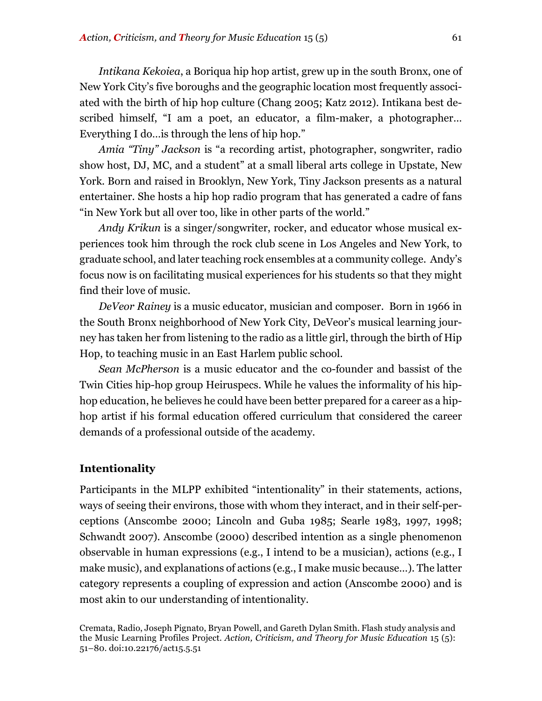*Intikana Kekoiea*, a Boriqua hip hop artist, grew up in the south Bronx, one of New York City's five boroughs and the geographic location most frequently associated with the birth of hip hop culture (Chang 2005; Katz 2012). Intikana best described himself, "I am a poet, an educator, a film-maker, a photographer… Everything I do…is through the lens of hip hop."

*Amia "Tiny" Jackson* is "a recording artist, photographer, songwriter, radio show host, DJ, MC, and a student" at a small liberal arts college in Upstate, New York. Born and raised in Brooklyn, New York, Tiny Jackson presents as a natural entertainer. She hosts a hip hop radio program that has generated a cadre of fans "in New York but all over too, like in other parts of the world."

*Andy Krikun* is a singer/songwriter, rocker, and educator whose musical experiences took him through the rock club scene in Los Angeles and New York, to graduate school, and later teaching rock ensembles at a community college. Andy's focus now is on facilitating musical experiences for his students so that they might find their love of music.

*DeVeor Rainey* is a music educator, musician and composer. Born in 1966 in the South Bronx neighborhood of New York City, DeVeor's musical learning journey has taken her from listening to the radio as a little girl, through the birth of Hip Hop, to teaching music in an East Harlem public school.

*Sean McPherson* is a music educator and the co-founder and bassist of the Twin Cities hip-hop group Heiruspecs. While he values the informality of his hiphop education, he believes he could have been better prepared for a career as a hiphop artist if his formal education offered curriculum that considered the career demands of a professional outside of the academy.

#### **Intentionality**

Participants in the MLPP exhibited "intentionality" in their statements, actions, ways of seeing their environs, those with whom they interact, and in their self-perceptions (Anscombe 2000; Lincoln and Guba 1985; Searle 1983, 1997, 1998; Schwandt 2007). Anscombe (2000) described intention as a single phenomenon observable in human expressions (e.g., I intend to be a musician), actions (e.g., I make music), and explanations of actions (e.g., I make music because…). The latter category represents a coupling of expression and action (Anscombe 2000) and is most akin to our understanding of intentionality.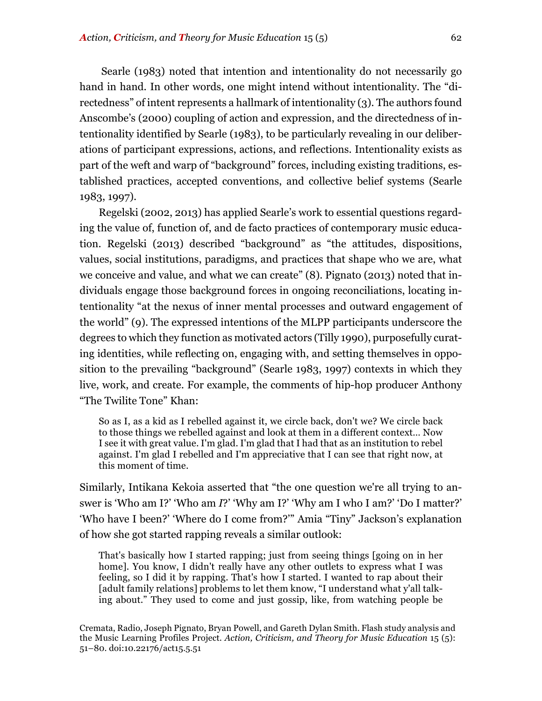Searle (1983) noted that intention and intentionality do not necessarily go hand in hand. In other words, one might intend without intentionality. The "directedness" of intent represents a hallmark of intentionality (3). The authors found Anscombe's (2000) coupling of action and expression, and the directedness of intentionality identified by Searle (1983), to be particularly revealing in our deliberations of participant expressions, actions, and reflections. Intentionality exists as part of the weft and warp of "background" forces, including existing traditions, established practices, accepted conventions, and collective belief systems (Searle 1983, 1997).

Regelski (2002, 2013) has applied Searle's work to essential questions regarding the value of, function of, and de facto practices of contemporary music education. Regelski (2013) described "background" as "the attitudes, dispositions, values, social institutions, paradigms, and practices that shape who we are, what we conceive and value, and what we can create" (8). Pignato (2013) noted that individuals engage those background forces in ongoing reconciliations, locating intentionality "at the nexus of inner mental processes and outward engagement of the world" (9). The expressed intentions of the MLPP participants underscore the degrees to which they function as motivated actors (Tilly 1990), purposefully curating identities, while reflecting on, engaging with, and setting themselves in opposition to the prevailing "background" (Searle 1983, 1997) contexts in which they live, work, and create. For example, the comments of hip-hop producer Anthony "The Twilite Tone" Khan:

So as I, as a kid as I rebelled against it, we circle back, don't we? We circle back to those things we rebelled against and look at them in a different context… Now I see it with great value. I'm glad. I'm glad that I had that as an institution to rebel against. I'm glad I rebelled and I'm appreciative that I can see that right now, at this moment of time.

Similarly, Intikana Kekoia asserted that "the one question we're all trying to answer is 'Who am I?' 'Who am *I*?' 'Why am I?' 'Why am I who I am?' 'Do I matter?' 'Who have I been?' 'Where do I come from?'" Amia "Tiny" Jackson's explanation of how she got started rapping reveals a similar outlook:

That's basically how I started rapping; just from seeing things [going on in her home]. You know, I didn't really have any other outlets to express what I was feeling, so I did it by rapping. That's how I started. I wanted to rap about their [adult family relations] problems to let them know, "I understand what y'all talking about." They used to come and just gossip, like, from watching people be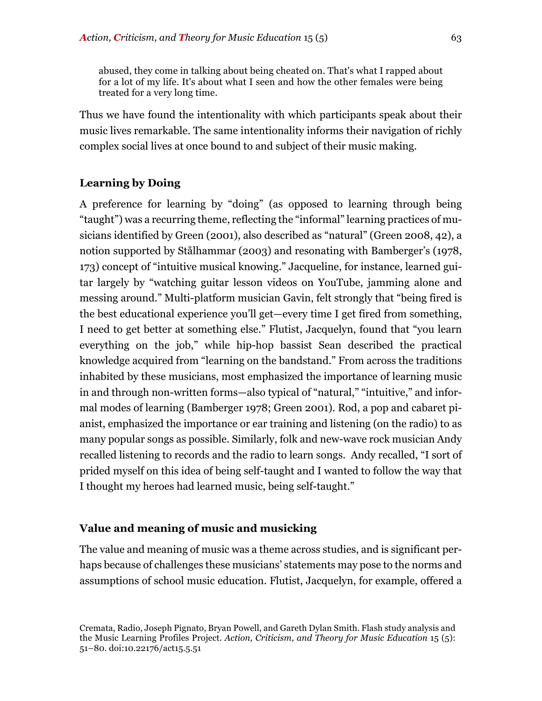abused, they come in talking about being cheated on. That's what I rapped about for a lot of my life. It's about what I seen and how the other females were being treated for a very long time.

Thus we have found the intentionality with which participants speak about their music lives remarkable. The same intentionality informs their navigation of richly complex social lives at once bound to and subject of their music making.

#### **Learning by Doing**

A preference for learning by "doing" (as opposed to learning through being "taught") was a recurring theme, reflecting the "informal" learning practices of musicians identified by Green (2001), also described as "natural" (Green 2008, 42), a notion supported by Stålhammar (2003) and resonating with Bamberger's (1978, 173) concept of "intuitive musical knowing." Jacqueline, for instance, learned guitar largely by "watching guitar lesson videos on YouTube, jamming alone and messing around." Multi-platform musician Gavin, felt strongly that "being fired is the best educational experience you'll get—every time I get fired from something, I need to get better at something else." Flutist, Jacquelyn, found that "you learn everything on the job," while hip-hop bassist Sean described the practical knowledge acquired from "learning on the bandstand." From across the traditions inhabited by these musicians, most emphasized the importance of learning music in and through non-written forms—also typical of "natural," "intuitive," and informal modes of learning (Bamberger 1978; Green 2001). Rod, a pop and cabaret pianist, emphasized the importance or ear training and listening (on the radio) to as many popular songs as possible. Similarly, folk and new-wave rock musician Andy recalled listening to records and the radio to learn songs. Andy recalled, "I sort of prided myself on this idea of being self-taught and I wanted to follow the way that I thought my heroes had learned music, being self-taught."

#### **Value and meaning of music and musicking**

The value and meaning of music was a theme across studies, and is significant perhaps because of challenges these musicians' statements may pose to the norms and assumptions of school music education. Flutist, Jacquelyn, for example, offered a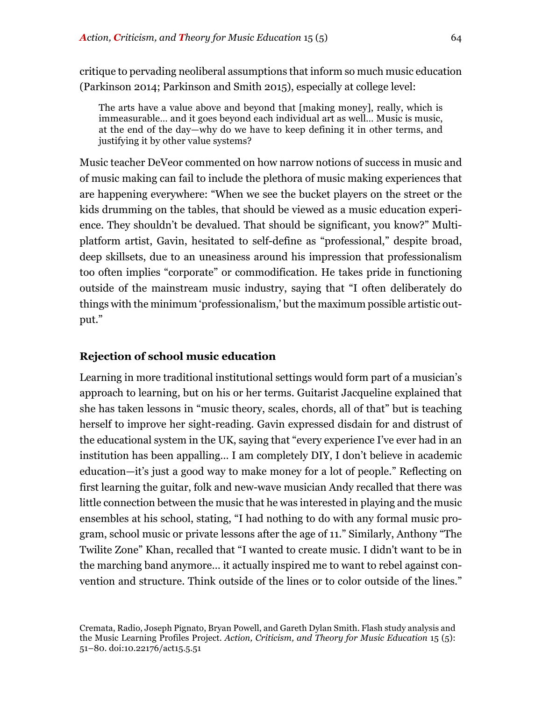critique to pervading neoliberal assumptions that inform so much music education (Parkinson 2014; Parkinson and Smith 2015), especially at college level:

The arts have a value above and beyond that [making money], really, which is immeasurable… and it goes beyond each individual art as well… Music is music, at the end of the day—why do we have to keep defining it in other terms, and justifying it by other value systems?

Music teacher DeVeor commented on how narrow notions of success in music and of music making can fail to include the plethora of music making experiences that are happening everywhere: "When we see the bucket players on the street or the kids drumming on the tables, that should be viewed as a music education experience. They shouldn't be devalued. That should be significant, you know?" Multiplatform artist, Gavin, hesitated to self-define as "professional," despite broad, deep skillsets, due to an uneasiness around his impression that professionalism too often implies "corporate" or commodification. He takes pride in functioning outside of the mainstream music industry, saying that "I often deliberately do things with the minimum 'professionalism,' but the maximum possible artistic output."

#### **Rejection of school music education**

Learning in more traditional institutional settings would form part of a musician's approach to learning, but on his or her terms. Guitarist Jacqueline explained that she has taken lessons in "music theory, scales, chords, all of that" but is teaching herself to improve her sight-reading. Gavin expressed disdain for and distrust of the educational system in the UK, saying that "every experience I've ever had in an institution has been appalling… I am completely DIY, I don't believe in academic education—it's just a good way to make money for a lot of people." Reflecting on first learning the guitar, folk and new-wave musician Andy recalled that there was little connection between the music that he was interested in playing and the music ensembles at his school, stating, "I had nothing to do with any formal music program, school music or private lessons after the age of 11." Similarly, Anthony "The Twilite Zone" Khan, recalled that "I wanted to create music. I didn't want to be in the marching band anymore… it actually inspired me to want to rebel against convention and structure. Think outside of the lines or to color outside of the lines."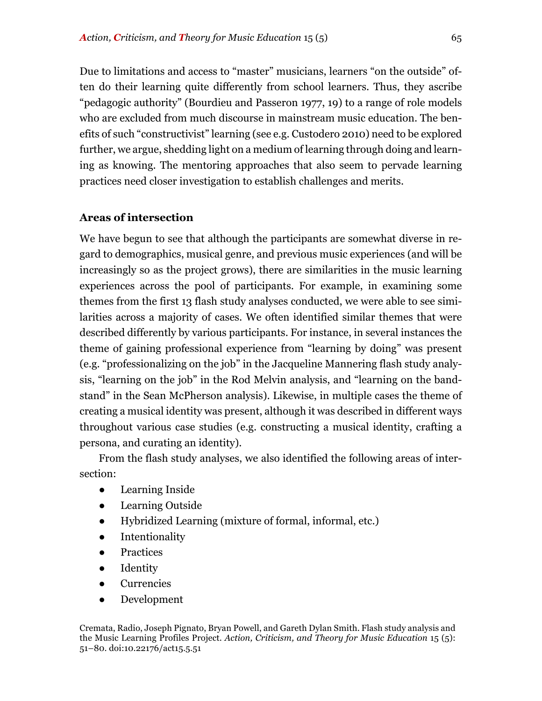Due to limitations and access to "master" musicians, learners "on the outside" often do their learning quite differently from school learners. Thus, they ascribe "pedagogic authority" (Bourdieu and Passeron 1977, 19) to a range of role models who are excluded from much discourse in mainstream music education. The benefits of such "constructivist" learning (see e.g. Custodero 2010) need to be explored further, we argue, shedding light on a medium of learning through doing and learning as knowing. The mentoring approaches that also seem to pervade learning practices need closer investigation to establish challenges and merits.

#### **Areas of intersection**

We have begun to see that although the participants are somewhat diverse in regard to demographics, musical genre, and previous music experiences (and will be increasingly so as the project grows), there are similarities in the music learning experiences across the pool of participants. For example, in examining some themes from the first 13 flash study analyses conducted, we were able to see similarities across a majority of cases. We often identified similar themes that were described differently by various participants. For instance, in several instances the theme of gaining professional experience from "learning by doing" was present (e.g. "professionalizing on the job" in the Jacqueline Mannering flash study analysis, "learning on the job" in the Rod Melvin analysis, and "learning on the bandstand" in the Sean McPherson analysis). Likewise, in multiple cases the theme of creating a musical identity was present, although it was described in different ways throughout various case studies (e.g. constructing a musical identity, crafting a persona, and curating an identity).

From the flash study analyses, we also identified the following areas of intersection:

- Learning Inside
- Learning Outside
- Hybridized Learning (mixture of formal, informal, etc.)
- Intentionality
- **Practices**
- Identity
- **Currencies**
- Development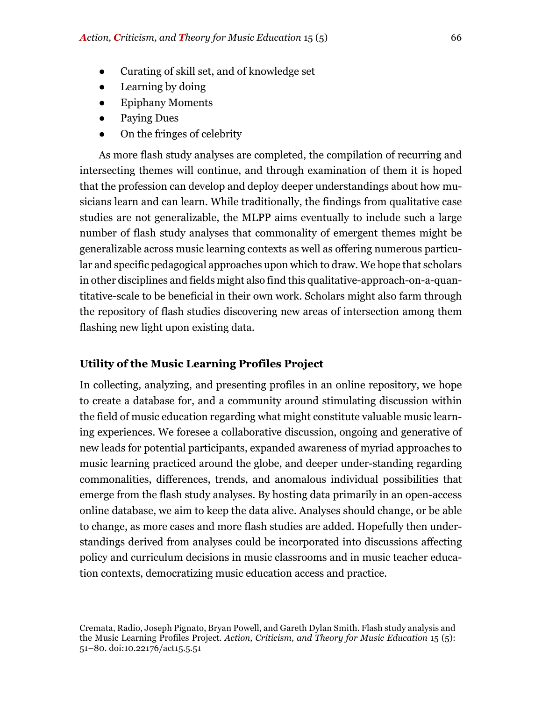- Curating of skill set, and of knowledge set
- Learning by doing
- **Epiphany Moments**
- Paying Dues
- On the fringes of celebrity

As more flash study analyses are completed, the compilation of recurring and intersecting themes will continue, and through examination of them it is hoped that the profession can develop and deploy deeper understandings about how musicians learn and can learn. While traditionally, the findings from qualitative case studies are not generalizable, the MLPP aims eventually to include such a large number of flash study analyses that commonality of emergent themes might be generalizable across music learning contexts as well as offering numerous particular and specific pedagogical approaches upon which to draw. We hope that scholars in other disciplines and fields might also find this qualitative-approach-on-a-quantitative-scale to be beneficial in their own work. Scholars might also farm through the repository of flash studies discovering new areas of intersection among them flashing new light upon existing data.

#### **Utility of the Music Learning Profiles Project**

In collecting, analyzing, and presenting profiles in an online repository, we hope to create a database for, and a community around stimulating discussion within the field of music education regarding what might constitute valuable music learning experiences. We foresee a collaborative discussion, ongoing and generative of new leads for potential participants, expanded awareness of myriad approaches to music learning practiced around the globe, and deeper under-standing regarding commonalities, differences, trends, and anomalous individual possibilities that emerge from the flash study analyses. By hosting data primarily in an open-access online database, we aim to keep the data alive. Analyses should change, or be able to change, as more cases and more flash studies are added. Hopefully then understandings derived from analyses could be incorporated into discussions affecting policy and curriculum decisions in music classrooms and in music teacher education contexts, democratizing music education access and practice.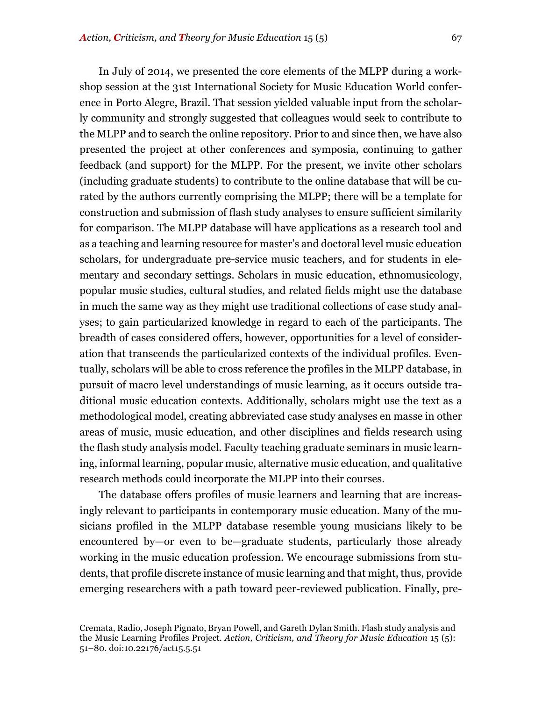In July of 2014, we presented the core elements of the MLPP during a workshop session at the 31st International Society for Music Education World conference in Porto Alegre, Brazil. That session yielded valuable input from the scholarly community and strongly suggested that colleagues would seek to contribute to the MLPP and to search the online repository. Prior to and since then, we have also presented the project at other conferences and symposia, continuing to gather feedback (and support) for the MLPP. For the present, we invite other scholars (including graduate students) to contribute to the online database that will be curated by the authors currently comprising the MLPP; there will be a template for construction and submission of flash study analyses to ensure sufficient similarity for comparison. The MLPP database will have applications as a research tool and as a teaching and learning resource for master's and doctoral level music education scholars, for undergraduate pre-service music teachers, and for students in elementary and secondary settings. Scholars in music education, ethnomusicology, popular music studies, cultural studies, and related fields might use the database in much the same way as they might use traditional collections of case study analyses; to gain particularized knowledge in regard to each of the participants. The breadth of cases considered offers, however, opportunities for a level of consideration that transcends the particularized contexts of the individual profiles. Eventually, scholars will be able to cross reference the profiles in the MLPP database, in pursuit of macro level understandings of music learning, as it occurs outside traditional music education contexts. Additionally, scholars might use the text as a methodological model, creating abbreviated case study analyses en masse in other areas of music, music education, and other disciplines and fields research using the flash study analysis model. Faculty teaching graduate seminars in music learning, informal learning, popular music, alternative music education, and qualitative research methods could incorporate the MLPP into their courses.

The database offers profiles of music learners and learning that are increasingly relevant to participants in contemporary music education. Many of the musicians profiled in the MLPP database resemble young musicians likely to be encountered by—or even to be—graduate students, particularly those already working in the music education profession. We encourage submissions from students, that profile discrete instance of music learning and that might, thus, provide emerging researchers with a path toward peer-reviewed publication. Finally, pre-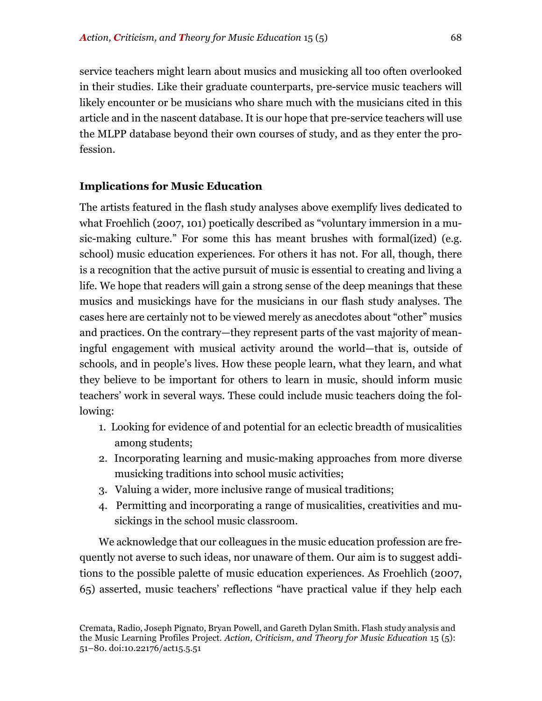service teachers might learn about musics and musicking all too often overlooked in their studies. Like their graduate counterparts, pre-service music teachers will likely encounter or be musicians who share much with the musicians cited in this article and in the nascent database. It is our hope that pre-service teachers will use the MLPP database beyond their own courses of study, and as they enter the profession.

#### **Implications for Music Education**

The artists featured in the flash study analyses above exemplify lives dedicated to what Froehlich (2007, 101) poetically described as "voluntary immersion in a music-making culture." For some this has meant brushes with formal(ized) (e.g. school) music education experiences. For others it has not. For all, though, there is a recognition that the active pursuit of music is essential to creating and living a life. We hope that readers will gain a strong sense of the deep meanings that these musics and musickings have for the musicians in our flash study analyses. The cases here are certainly not to be viewed merely as anecdotes about "other" musics and practices. On the contrary—they represent parts of the vast majority of meaningful engagement with musical activity around the world—that is, outside of schools, and in people's lives. How these people learn, what they learn, and what they believe to be important for others to learn in music, should inform music teachers' work in several ways. These could include music teachers doing the following:

- 1. Looking for evidence of and potential for an eclectic breadth of musicalities among students;
- 2. Incorporating learning and music-making approaches from more diverse musicking traditions into school music activities;
- 3. Valuing a wider, more inclusive range of musical traditions;
- 4. Permitting and incorporating a range of musicalities, creativities and musickings in the school music classroom.

We acknowledge that our colleagues in the music education profession are frequently not averse to such ideas, nor unaware of them. Our aim is to suggest additions to the possible palette of music education experiences. As Froehlich (2007, 65) asserted, music teachers' reflections "have practical value if they help each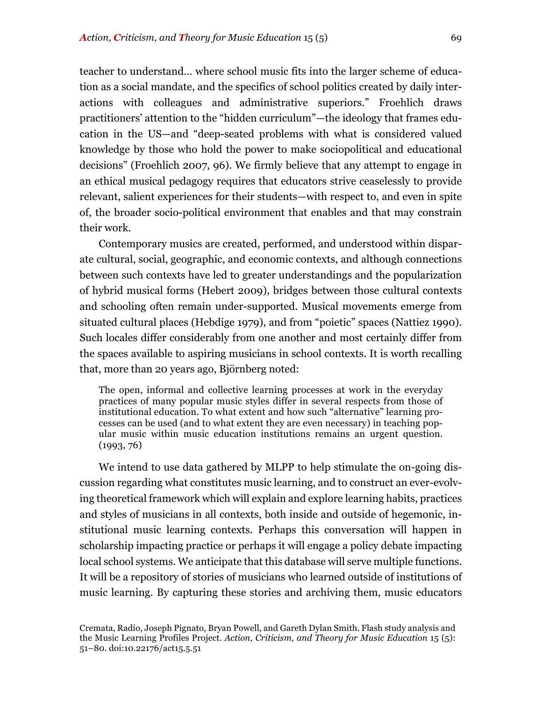teacher to understand… where school music fits into the larger scheme of education as a social mandate, and the specifics of school politics created by daily interactions with colleagues and administrative superiors." Froehlich draws practitioners' attention to the "hidden curriculum"—the ideology that frames education in the US—and "deep-seated problems with what is considered valued knowledge by those who hold the power to make sociopolitical and educational decisions" (Froehlich 2007, 96). We firmly believe that any attempt to engage in an ethical musical pedagogy requires that educators strive ceaselessly to provide relevant, salient experiences for their students—with respect to, and even in spite of, the broader socio-political environment that enables and that may constrain their work.

Contemporary musics are created, performed, and understood within disparate cultural, social, geographic, and economic contexts, and although connections between such contexts have led to greater understandings and the popularization of hybrid musical forms (Hebert 2009), bridges between those cultural contexts and schooling often remain under-supported. Musical movements emerge from situated cultural places (Hebdige 1979), and from "poietic" spaces (Nattiez 1990). Such locales differ considerably from one another and most certainly differ from the spaces available to aspiring musicians in school contexts. It is worth recalling that, more than 20 years ago, Björnberg noted:

The open, informal and collective learning processes at work in the everyday practices of many popular music styles differ in several respects from those of institutional education. To what extent and how such "alternative" learning processes can be used (and to what extent they are even necessary) in teaching popular music within music education institutions remains an urgent question. (1993, 76)

We intend to use data gathered by MLPP to help stimulate the on-going discussion regarding what constitutes music learning, and to construct an ever-evolving theoretical framework which will explain and explore learning habits, practices and styles of musicians in all contexts, both inside and outside of hegemonic, institutional music learning contexts. Perhaps this conversation will happen in scholarship impacting practice or perhaps it will engage a policy debate impacting local school systems. We anticipate that this database will serve multiple functions. It will be a repository of stories of musicians who learned outside of institutions of music learning. By capturing these stories and archiving them, music educators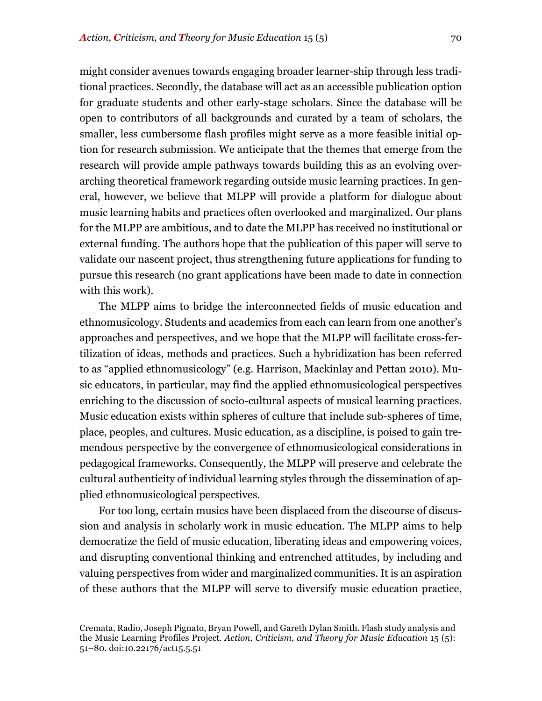might consider avenues towards engaging broader learner-ship through less traditional practices. Secondly, the database will act as an accessible publication option for graduate students and other early-stage scholars. Since the database will be open to contributors of all backgrounds and curated by a team of scholars, the smaller, less cumbersome flash profiles might serve as a more feasible initial option for research submission. We anticipate that the themes that emerge from the research will provide ample pathways towards building this as an evolving overarching theoretical framework regarding outside music learning practices. In general, however, we believe that MLPP will provide a platform for dialogue about music learning habits and practices often overlooked and marginalized. Our plans for the MLPP are ambitious, and to date the MLPP has received no institutional or external funding. The authors hope that the publication of this paper will serve to validate our nascent project, thus strengthening future applications for funding to pursue this research (no grant applications have been made to date in connection with this work).

The MLPP aims to bridge the interconnected fields of music education and ethnomusicology. Students and academics from each can learn from one another's approaches and perspectives, and we hope that the MLPP will facilitate cross-fertilization of ideas, methods and practices. Such a hybridization has been referred to as "applied ethnomusicology" (e.g. Harrison, Mackinlay and Pettan 2010). Music educators, in particular, may find the applied ethnomusicological perspectives enriching to the discussion of socio-cultural aspects of musical learning practices. Music education exists within spheres of culture that include sub-spheres of time, place, peoples, and cultures. Music education, as a discipline, is poised to gain tremendous perspective by the convergence of ethnomusicological considerations in pedagogical frameworks. Consequently, the MLPP will preserve and celebrate the cultural authenticity of individual learning styles through the dissemination of applied ethnomusicological perspectives.

For too long, certain musics have been displaced from the discourse of discussion and analysis in scholarly work in music education. The MLPP aims to help democratize the field of music education, liberating ideas and empowering voices, and disrupting conventional thinking and entrenched attitudes, by including and valuing perspectives from wider and marginalized communities. It is an aspiration of these authors that the MLPP will serve to diversify music education practice,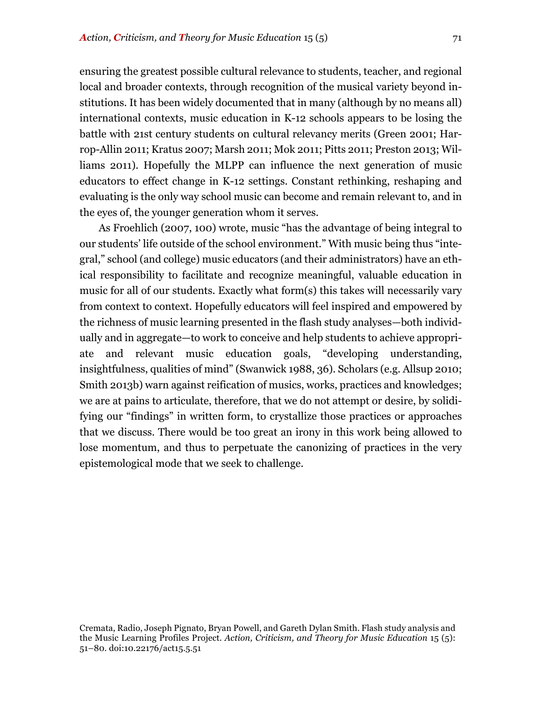ensuring the greatest possible cultural relevance to students, teacher, and regional local and broader contexts, through recognition of the musical variety beyond institutions. It has been widely documented that in many (although by no means all) international contexts, music education in K-12 schools appears to be losing the battle with 21st century students on cultural relevancy merits (Green 2001; Harrop-Allin 2011; Kratus 2007; Marsh 2011; Mok 2011; Pitts 2011; Preston 2013; Williams 2011). Hopefully the MLPP can influence the next generation of music educators to effect change in K-12 settings. Constant rethinking, reshaping and evaluating is the only way school music can become and remain relevant to, and in the eyes of, the younger generation whom it serves.

As Froehlich (2007, 100) wrote, music "has the advantage of being integral to our students' life outside of the school environment." With music being thus "integral," school (and college) music educators (and their administrators) have an ethical responsibility to facilitate and recognize meaningful, valuable education in music for all of our students. Exactly what form(s) this takes will necessarily vary from context to context. Hopefully educators will feel inspired and empowered by the richness of music learning presented in the flash study analyses—both individually and in aggregate—to work to conceive and help students to achieve appropriate and relevant music education goals, "developing understanding, insightfulness, qualities of mind" (Swanwick 1988, 36). Scholars (e.g. Allsup 2010; Smith 2013b) warn against reification of musics, works, practices and knowledges; we are at pains to articulate, therefore, that we do not attempt or desire, by solidifying our "findings" in written form, to crystallize those practices or approaches that we discuss. There would be too great an irony in this work being allowed to lose momentum, and thus to perpetuate the canonizing of practices in the very epistemological mode that we seek to challenge.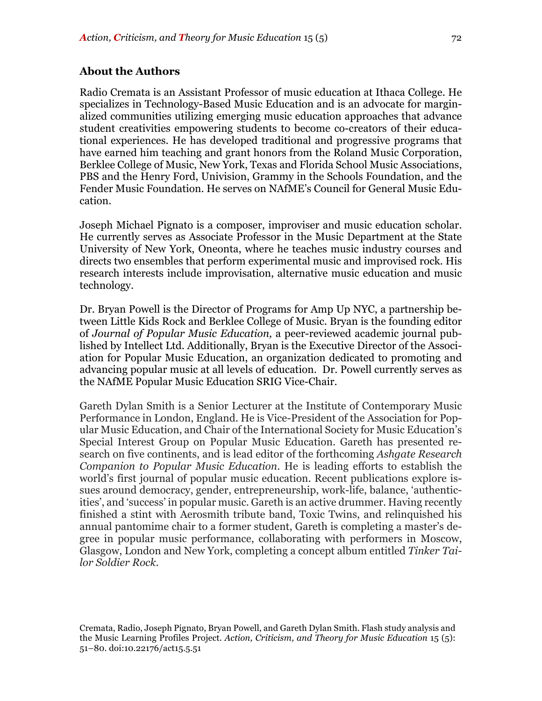#### **About the Authors**

Radio Cremata is an Assistant Professor of music education at Ithaca College. He specializes in Technology-Based Music Education and is an advocate for marginalized communities utilizing emerging music education approaches that advance student creativities empowering students to become co-creators of their educational experiences. He has developed traditional and progressive programs that have earned him teaching and grant honors from the Roland Music Corporation, Berklee College of Music, New York, Texas and Florida School Music Associations, PBS and the Henry Ford, Univision, Grammy in the Schools Foundation, and the Fender Music Foundation. He serves on NAfME's Council for General Music Education.

Joseph Michael Pignato is a composer, improviser and music education scholar. He currently serves as Associate Professor in the Music Department at the State University of New York, Oneonta, where he teaches music industry courses and directs two ensembles that perform experimental music and improvised rock. His research interests include improvisation, alternative music education and music technology.

Dr. Bryan Powell is the Director of Programs for Amp Up NYC, a partnership between Little Kids Rock and Berklee College of Music. Bryan is the founding editor of *Journal of Popular Music Education,* a peer-reviewed academic journal published by Intellect Ltd. Additionally, Bryan is the Executive Director of the Association for Popular Music Education, an organization dedicated to promoting and advancing popular music at all levels of education. Dr. Powell currently serves as the NAfME Popular Music Education SRIG Vice-Chair.

Gareth Dylan Smith is a Senior Lecturer at the Institute of Contemporary Music Performance in London, England. He is Vice-President of the Association for Popular Music Education, and Chair of the International Society for Music Education's Special Interest Group on Popular Music Education. Gareth has presented research on five continents, and is lead editor of the forthcoming *Ashgate Research Companion to Popular Music Education*. He is leading efforts to establish the world's first journal of popular music education. Recent publications explore issues around democracy, gender, entrepreneurship, work-life, balance, 'authenticities', and 'success' in popular music. Gareth is an active drummer. Having recently finished a stint with Aerosmith tribute band, Toxic Twins, and relinquished his annual pantomime chair to a former student, Gareth is completing a master's degree in popular music performance, collaborating with performers in Moscow, Glasgow, London and New York, completing a concept album entitled *Tinker Tailor Soldier Rock*.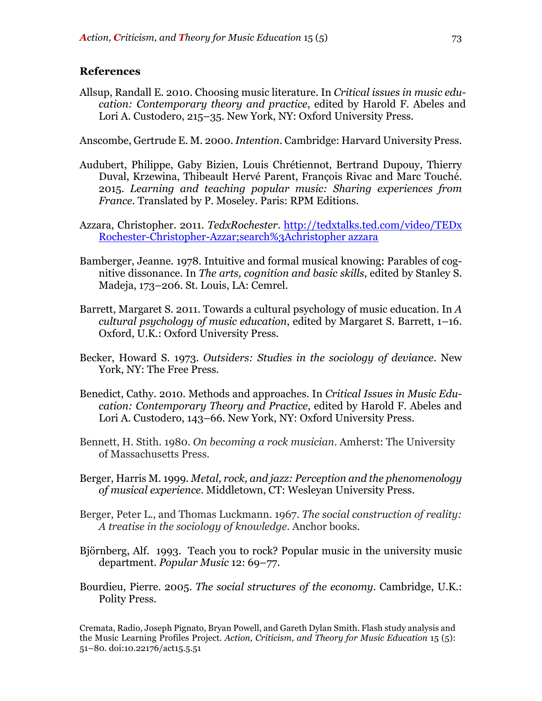#### **References**

Allsup, Randall E. 2010. Choosing music literature. In *Critical issues in music education: Contemporary theory and practice*, edited by Harold F. Abeles and Lori A. Custodero, 215–35. New York, NY: Oxford University Press.

Anscombe, Gertrude E. M. 2000. *Intention*. Cambridge: Harvard University Press.

- Audubert, Philippe, Gaby Bizien, Louis Chrétiennot, Bertrand Dupouy, Thierry Duval, Krzewina, Thibeault Hervé Parent, François Rivac and Marc Touché. 2015. *Learning and teaching popular music: Sharing experiences from France*. Translated by P. Moseley. Paris: RPM Editions.
- Azzara, Christopher. 2011. *TedxRochester*. http://tedxtalks.ted.com/video/TEDx Rochester-Christopher-Azzar;search%3Achristopher azzara
- Bamberger, Jeanne. 1978. Intuitive and formal musical knowing: Parables of cognitive dissonance. In *The arts, cognition and basic skills*, edited by Stanley S. Madeja, 173–206. St. Louis, LA: Cemrel.
- Barrett, Margaret S. 2011. Towards a cultural psychology of music education. In *A cultural psychology of music education*, edited by Margaret S. Barrett, 1–16. Oxford, U.K.: Oxford University Press.
- Becker, Howard S. 1973. *Outsiders: Studies in the sociology of deviance*. New York, NY: The Free Press.
- Benedict, Cathy. 2010. Methods and approaches. In *Critical Issues in Music Education: Contemporary Theory and Practice*, edited by Harold F. Abeles and Lori A. Custodero, 143–66. New York, NY: Oxford University Press.
- Bennett, H. Stith. 1980. *On becoming a rock musician*. Amherst: The University of Massachusetts Press.
- Berger, Harris M. 1999. *Metal, rock, and jazz: Perception and the phenomenology of musical experience*. Middletown, CT: Wesleyan University Press.
- Berger, Peter L., and Thomas Luckmann. 1967. *The social construction of reality: A treatise in the sociology of knowledge*. Anchor books.
- Björnberg, Alf. 1993. Teach you to rock? Popular music in the university music department. *Popular Music* 12: 69–77.
- Bourdieu, Pierre. 2005. *The social structures of the economy*. Cambridge, U.K.: Polity Press.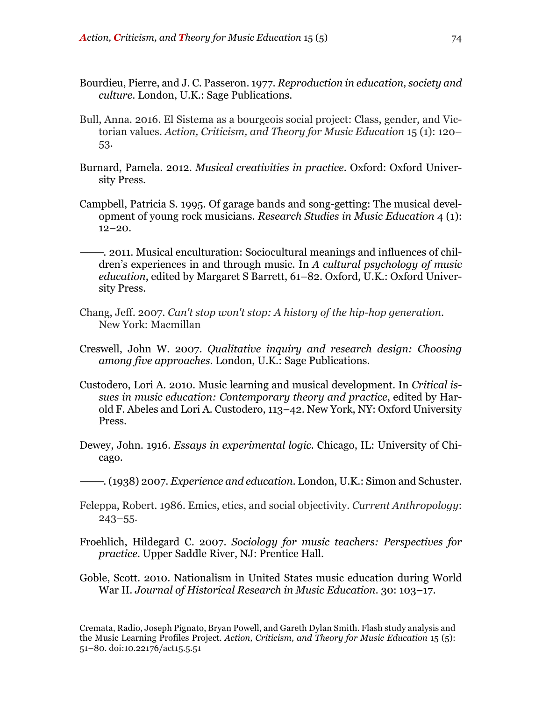- Bourdieu, Pierre, and J. C. Passeron. 1977. *Reproduction in education, society and culture*. London, U.K.: Sage Publications.
- Bull, Anna. 2016. El Sistema as a bourgeois social project: Class, gender, and Victorian values. *Action, Criticism, and Theory for Music Education* 15 (1): 120– 53.
- Burnard, Pamela. 2012. *Musical creativities in practice*. Oxford: Oxford University Press.
- Campbell, Patricia S. 1995. Of garage bands and song-getting: The musical development of young rock musicians. *Research Studies in Music Education* 4 (1):  $12 - 20.$
- ———. 2011. Musical enculturation: Sociocultural meanings and influences of children's experiences in and through music. In *A cultural psychology of music education*, edited by Margaret S Barrett, 61–82. Oxford, U.K.: Oxford University Press.
- Chang, Jeff. 2007. *Can't stop won't stop: A history of the hip-hop generation*. New York: Macmillan
- Creswell, John W. 2007. *Qualitative inquiry and research design: Choosing among five approaches.* London, U.K.: Sage Publications.
- Custodero, Lori A. 2010. Music learning and musical development. In *Critical issues in music education: Contemporary theory and practice*, edited by Harold F. Abeles and Lori A. Custodero, 113–42. New York, NY: Oxford University Press.
- Dewey, John. 1916. *Essays in experimental logic*. Chicago, IL: University of Chicago.
- ———. (1938) 2007. *Experience and education*. London, U.K.: Simon and Schuster.
- Feleppa, Robert. 1986. Emics, etics, and social objectivity. *Current Anthropology*: 243–55.
- Froehlich, Hildegard C. 2007. *Sociology for music teachers: Perspectives for practice*. Upper Saddle River, NJ: Prentice Hall.
- Goble, Scott. 2010. Nationalism in United States music education during World War II. *Journal of Historical Research in Music Education.* 30: 103–17.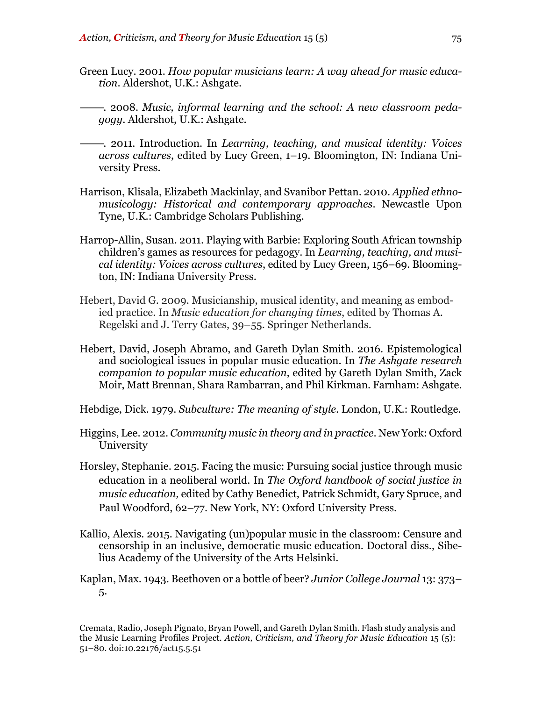- Green Lucy. 2001. *How popular musicians learn: A way ahead for music education*. Aldershot, U.K.: Ashgate.
- ———. 2008. *Music, informal learning and the school: A new classroom pedagogy*. Aldershot, U.K.: Ashgate.
- ———. 2011. Introduction. In *Learning, teaching, and musical identity: Voices across cultures*, edited by Lucy Green, 1–19. Bloomington, IN: Indiana University Press.
- Harrison, Klisala, Elizabeth Mackinlay, and Svanibor Pettan. 2010. *Applied ethnomusicology: Historical and contemporary approaches*. Newcastle Upon Tyne, U.K.: Cambridge Scholars Publishing.
- Harrop-Allin, Susan. 2011. Playing with Barbie: Exploring South African township children's games as resources for pedagogy. In *Learning, teaching, and musical identity: Voices across cultures*, edited by Lucy Green, 156–69. Bloomington, IN: Indiana University Press.
- Hebert, David G. 2009. Musicianship, musical identity, and meaning as embodied practice. In *Music education for changing times*, edited by Thomas A. Regelski and J. Terry Gates, 39–55. Springer Netherlands.
- Hebert, David, Joseph Abramo, and Gareth Dylan Smith. 2016. Epistemological and sociological issues in popular music education. In *The Ashgate research companion to popular music education*, edited by Gareth Dylan Smith, Zack Moir, Matt Brennan, Shara Rambarran, and Phil Kirkman. Farnham: Ashgate.
- Hebdige, Dick. 1979. *Subculture: The meaning of style*. London, U.K.: Routledge.
- Higgins, Lee. 2012. *Community music in theory and in practice*. New York: Oxford University
- Horsley, Stephanie. 2015. Facing the music: Pursuing social justice through music education in a neoliberal world. In *The Oxford handbook of social justice in music education,* edited by Cathy Benedict, Patrick Schmidt, Gary Spruce, and Paul Woodford, 62–77. New York, NY: Oxford University Press.
- Kallio, Alexis. 2015. Navigating (un)popular music in the classroom: Censure and censorship in an inclusive, democratic music education. Doctoral diss., Sibelius Academy of the University of the Arts Helsinki.
- Kaplan, Max. 1943. Beethoven or a bottle of beer? *Junior College Journal* 13: 373– 5.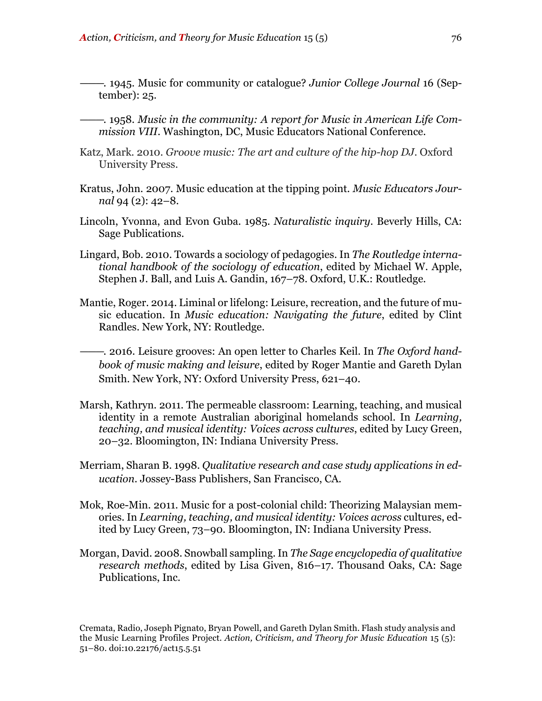- ———. 1945. Music for community or catalogue? *Junior College Journal* 16 (September): 25.
- ———. 1958. *Music in the community: A report for Music in American Life Commission VIII*. Washington, DC, Music Educators National Conference.
- Katz, Mark. 2010. *Groove music: The art and culture of the hip-hop DJ*. Oxford University Press.
- Kratus, John. 2007. Music education at the tipping point. *Music Educators Journal* 94 (2): 42–8.
- Lincoln, Yvonna, and Evon Guba. 1985. *Naturalistic inquiry*. Beverly Hills, CA: Sage Publications.
- Lingard, Bob. 2010. Towards a sociology of pedagogies. In *The Routledge international handbook of the sociology of education*, edited by Michael W. Apple, Stephen J. Ball, and Luis A. Gandin, 167–78. Oxford, U.K.: Routledge.
- Mantie, Roger. 2014. Liminal or lifelong: Leisure, recreation, and the future of music education. In *Music education: Navigating the future*, edited by Clint Randles. New York, NY: Routledge.
- ———. 2016. Leisure grooves: An open letter to Charles Keil. In *The Oxford handbook of music making and leisure*, edited by Roger Mantie and Gareth Dylan Smith. New York, NY: Oxford University Press, 621–40.
- Marsh, Kathryn. 2011. The permeable classroom: Learning, teaching, and musical identity in a remote Australian aboriginal homelands school. In *Learning, teaching, and musical identity: Voices across cultures*, edited by Lucy Green, 20–32. Bloomington, IN: Indiana University Press.
- Merriam, Sharan B. 1998. *Qualitative research and case study applications in education.* Jossey-Bass Publishers, San Francisco, CA.
- Mok, Roe-Min. 2011. Music for a post-colonial child: Theorizing Malaysian memories. In *Learning, teaching, and musical identity: Voices across* cultures, edited by Lucy Green, 73–90. Bloomington, IN: Indiana University Press.
- Morgan, David. 2008. Snowball sampling.In *The Sage encyclopedia of qualitative research methods*, edited by Lisa Given, 816–17. Thousand Oaks, CA: Sage Publications, Inc.

Cremata, Radio, Joseph Pignato, Bryan Powell, and Gareth Dylan Smith. Flash study analysis and the Music Learning Profiles Project. *Action, Criticism, and Theory for Music Education* 15 (5): 51–80. doi:10.22176/act15.5.51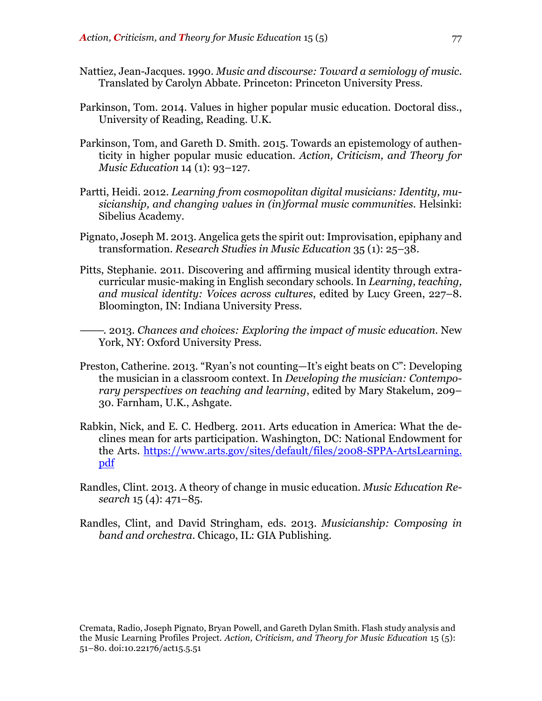- Nattiez, Jean-Jacques. 1990. *Music and discourse: Toward a semiology of music*. Translated by Carolyn Abbate. Princeton: Princeton University Press.
- Parkinson, Tom. 2014. Values in higher popular music education. Doctoral diss., University of Reading, Reading. U.K.
- Parkinson, Tom, and Gareth D. Smith. 2015. Towards an epistemology of authenticity in higher popular music education. *Action, Criticism, and Theory for Music Education* 14 (1): 93–127.
- Partti, Heidi. 2012. *Learning from cosmopolitan digital musicians: Identity, musicianship, and changing values in (in)formal music communities*. Helsinki: Sibelius Academy.
- Pignato, Joseph M. 2013. Angelica gets the spirit out: Improvisation, epiphany and transformation. *Research Studies in Music Education* 35 (1): 25–38.
- Pitts, Stephanie. 2011. Discovering and affirming musical identity through extracurricular music-making in English secondary schools. In *Learning, teaching, and musical identity: Voices across cultures*, edited by Lucy Green, 227–8. Bloomington, IN: Indiana University Press.
- ———. 2013. *Chances and choices: Exploring the impact of music education*. New York, NY: Oxford University Press.
- Preston, Catherine. 2013. "Ryan's not counting—It's eight beats on C": Developing the musician in a classroom context. In *Developing the musician: Contemporary perspectives on teaching and learning*, edited by Mary Stakelum, 209– 30. Farnham, U.K., Ashgate.
- Rabkin, Nick, and E. C. Hedberg. 2011. Arts education in America: What the declines mean for arts participation. Washington, DC: National Endowment for the Arts. https://www.arts.gov/sites/default/files/2008-SPPA-ArtsLearning. pdf
- Randles, Clint. 2013. A theory of change in music education. *Music Education Research* 15 (4): 471–85.
- Randles, Clint, and David Stringham, eds. 2013. *Musicianship: Composing in band and orchestra*. Chicago, IL: GIA Publishing.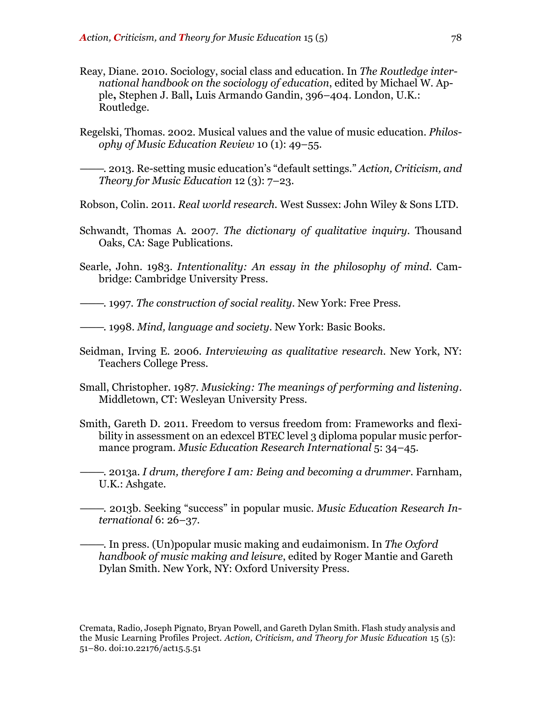- Reay, Diane. 2010. Sociology, social class and education. In *The Routledge international handbook on the sociology of education*, edited by Michael W. Apple**,** Stephen J. Ball**,** Luis Armando Gandin, 396–404. London, U.K.: Routledge.
- Regelski, Thomas. 2002. Musical values and the value of music education. *Philosophy of Music Education Review* 10 (1): 49–55.

———. 2013. Re-setting music education's "default settings." *Action, Criticism, and Theory for Music Education* 12 (3): 7–23.

- Robson, Colin. 2011. *Real world research.* West Sussex: John Wiley & Sons LTD.
- Schwandt, Thomas A. 2007. *The dictionary of qualitative inquiry*. Thousand Oaks, CA: Sage Publications.
- Searle, John. 1983. *Intentionality: An essay in the philosophy of mind*. Cambridge: Cambridge University Press.
- ———. 1997. *The construction of social reality*. New York: Free Press.
- ———. 1998. *Mind, language and society*. New York: Basic Books.
- Seidman, Irving E. 2006. *Interviewing as qualitative research*. New York, NY: Teachers College Press.
- Small, Christopher. 1987. *Musicking: The meanings of performing and listening*. Middletown, CT: Wesleyan University Press.
- Smith, Gareth D. 2011. Freedom to versus freedom from: Frameworks and flexibility in assessment on an edexcel BTEC level 3 diploma popular music performance program. *Music Education Research International* 5: 34–45.
- ———. 2013a. *I drum, therefore I am: Being and becoming a drummer*. Farnham, U.K.: Ashgate.
- ———. 2013b. Seeking "success" in popular music. *Music Education Research International* 6: 26–37.
- ———. In press. (Un)popular music making and eudaimonism. In *The Oxford handbook of music making and leisure*, edited by Roger Mantie and Gareth Dylan Smith. New York, NY: Oxford University Press.

Cremata, Radio, Joseph Pignato, Bryan Powell, and Gareth Dylan Smith. Flash study analysis and the Music Learning Profiles Project. *Action, Criticism, and Theory for Music Education* 15 (5): 51–80. doi:10.22176/act15.5.51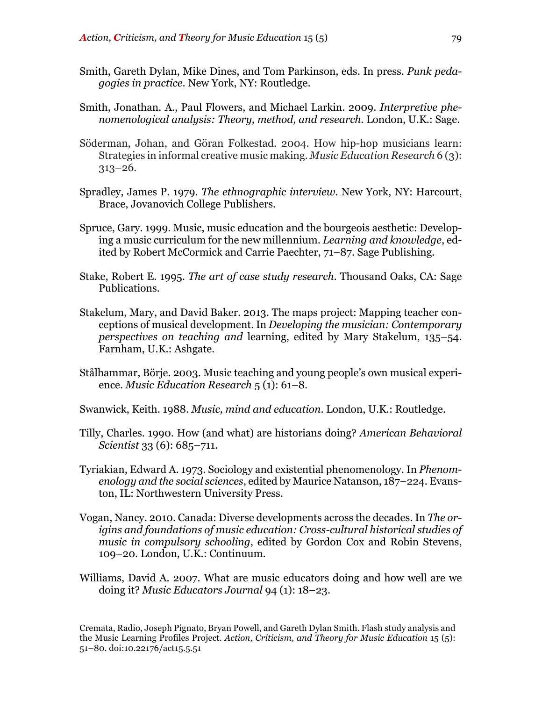- Smith, Gareth Dylan, Mike Dines, and Tom Parkinson, eds. In press. *Punk pedagogies in practice*. New York, NY: Routledge.
- Smith, Jonathan. A., Paul Flowers, and Michael Larkin. 2009. *Interpretive phenomenological analysis: Theory, method, and research*. London, U.K.: Sage.
- Söderman, Johan, and Göran Folkestad. 2004. How hip-hop musicians learn: Strategies in informal creative music making. *Music Education Research* 6 (3): 313–26.
- Spradley, James P. 1979. *The ethnographic interview*. New York, NY: Harcourt, Brace, Jovanovich College Publishers.
- Spruce, Gary. 1999. Music, music education and the bourgeois aesthetic: Developing a music curriculum for the new millennium. *Learning and knowledge*, edited by Robert McCormick and Carrie Paechter, 71–87. Sage Publishing.
- Stake, Robert E. 1995. *The art of case study research*. Thousand Oaks, CA: Sage Publications.
- Stakelum, Mary, and David Baker. 2013. The maps project: Mapping teacher conceptions of musical development. In *Developing the musician: Contemporary perspectives on teaching and* learning, edited by Mary Stakelum, 135–54. Farnham, U.K.: Ashgate.
- Stålhammar, Börje. 2003. Music teaching and young people's own musical experience. *Music Education Research* 5 (1): 61–8.

Swanwick, Keith. 1988. *Music, mind and education*. London, U.K.: Routledge.

- Tilly, Charles. 1990. How (and what) are historians doing? *American Behavioral Scientist* 33 (6): 685–711.
- Tyriakian, Edward A. 1973. Sociology and existential phenomenology. In *Phenomenology and the social sciences*, edited by Maurice Natanson, 187–224. Evanston, IL: Northwestern University Press.
- Vogan, Nancy. 2010. Canada: Diverse developments across the decades. In *The origins and foundations of music education: Cross-cultural historical studies of music in compulsory schooling*, edited by Gordon Cox and Robin Stevens, 109–20. London, U.K.: Continuum.
- Williams, David A. 2007. What are music educators doing and how well are we doing it? *Music Educators Journal* 94 (1): 18–23.